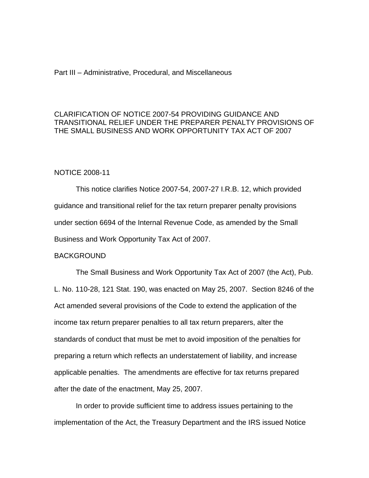## Part III – Administrative, Procedural, and Miscellaneous

# CLARIFICATION OF NOTICE 2007-54 PROVIDING GUIDANCE AND TRANSITIONAL RELIEF UNDER THE PREPARER PENALTY PROVISIONS OF THE SMALL BUSINESS AND WORK OPPORTUNITY TAX ACT OF 2007

## NOTICE 2008-11

This notice clarifies Notice 2007-54, 2007-27 I.R.B. 12, which provided guidance and transitional relief for the tax return preparer penalty provisions under section 6694 of the Internal Revenue Code, as amended by the Small Business and Work Opportunity Tax Act of 2007.

#### BACKGROUND

The Small Business and Work Opportunity Tax Act of 2007 (the Act), Pub. L. No. 110-28, 121 Stat. 190, was enacted on May 25, 2007. Section 8246 of the Act amended several provisions of the Code to extend the application of the income tax return preparer penalties to all tax return preparers, alter the standards of conduct that must be met to avoid imposition of the penalties for preparing a return which reflects an understatement of liability, and increase applicable penalties. The amendments are effective for tax returns prepared after the date of the enactment, May 25, 2007.

In order to provide sufficient time to address issues pertaining to the implementation of the Act, the Treasury Department and the IRS issued Notice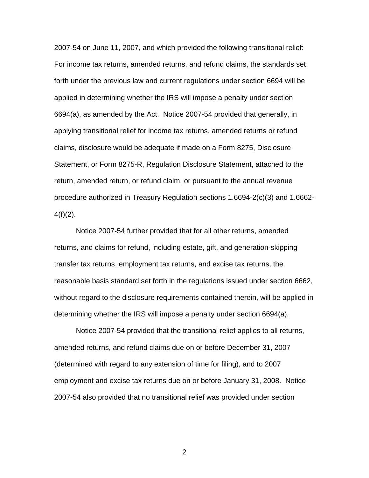2007-54 on June 11, 2007, and which provided the following transitional relief: For income tax returns, amended returns, and refund claims, the standards set forth under the previous law and current regulations under section 6694 will be applied in determining whether the IRS will impose a penalty under section 6694(a), as amended by the Act. Notice 2007-54 provided that generally, in applying transitional relief for income tax returns, amended returns or refund claims, disclosure would be adequate if made on a Form 8275, Disclosure Statement, or Form 8275-R, Regulation Disclosure Statement, attached to the return, amended return, or refund claim, or pursuant to the annual revenue procedure authorized in Treasury Regulation sections 1.6694-2(c)(3) and 1.6662-  $4(f)(2)$ .

Notice 2007-54 further provided that for all other returns, amended returns, and claims for refund, including estate, gift, and generation-skipping transfer tax returns, employment tax returns, and excise tax returns, the reasonable basis standard set forth in the regulations issued under section 6662, without regard to the disclosure requirements contained therein, will be applied in determining whether the IRS will impose a penalty under section 6694(a).

Notice 2007-54 provided that the transitional relief applies to all returns, amended returns, and refund claims due on or before December 31, 2007 (determined with regard to any extension of time for filing), and to 2007 employment and excise tax returns due on or before January 31, 2008. Notice 2007-54 also provided that no transitional relief was provided under section

2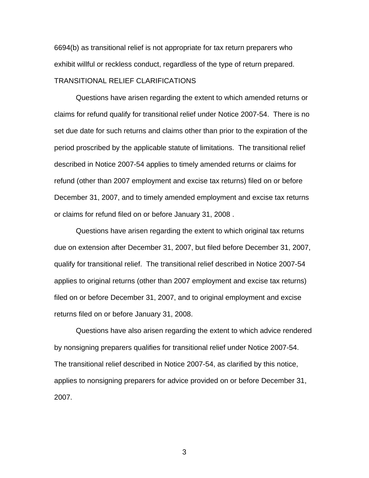6694(b) as transitional relief is not appropriate for tax return preparers who exhibit willful or reckless conduct, regardless of the type of return prepared. TRANSITIONAL RELIEF CLARIFICATIONS

Questions have arisen regarding the extent to which amended returns or claims for refund qualify for transitional relief under Notice 2007-54. There is no set due date for such returns and claims other than prior to the expiration of the period proscribed by the applicable statute of limitations. The transitional relief described in Notice 2007-54 applies to timely amended returns or claims for refund (other than 2007 employment and excise tax returns) filed on or before December 31, 2007, and to timely amended employment and excise tax returns or claims for refund filed on or before January 31, 2008 .

Questions have arisen regarding the extent to which original tax returns due on extension after December 31, 2007, but filed before December 31, 2007, qualify for transitional relief. The transitional relief described in Notice 2007-54 applies to original returns (other than 2007 employment and excise tax returns) filed on or before December 31, 2007, and to original employment and excise returns filed on or before January 31, 2008.

Questions have also arisen regarding the extent to which advice rendered by nonsigning preparers qualifies for transitional relief under Notice 2007-54. The transitional relief described in Notice 2007-54, as clarified by this notice, applies to nonsigning preparers for advice provided on or before December 31, 2007.

3